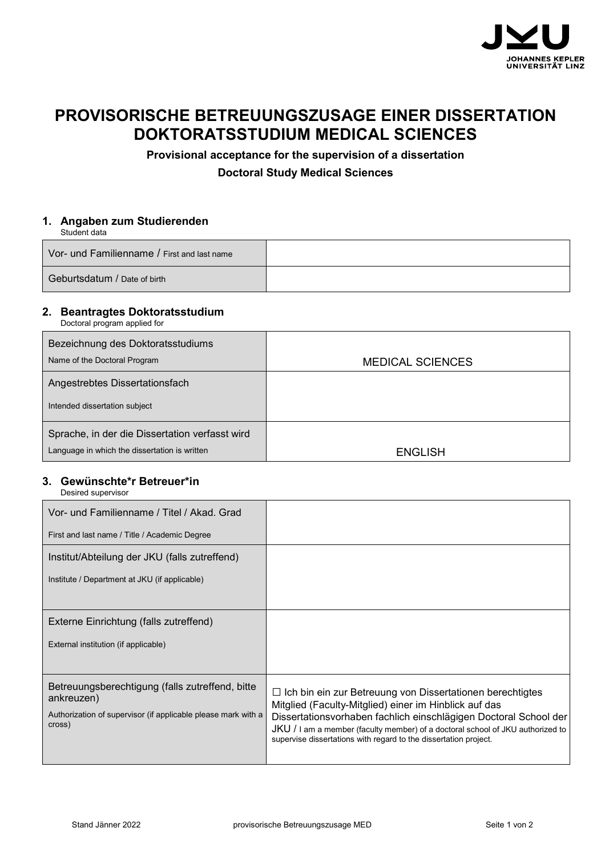

# **PROVISORISCHE BETREUUNGSZUSAGE EINER DISSERTATION DOKTORATSSTUDIUM MEDICAL SCIENCES**

**Provisional acceptance for the supervision of a dissertation Doctoral Study Medical Sciences**

#### **1. Angaben zum Studierenden**

Student data

| Vor- und Familienname / First and last name |  |
|---------------------------------------------|--|
| Geburtsdatum / Date of birth                |  |

## **2. Beantragtes Doktoratsstudium**

Doctoral program applied for

| Bezeichnung des Doktoratsstudiums              |                         |
|------------------------------------------------|-------------------------|
| Name of the Doctoral Program                   | <b>MEDICAL SCIENCES</b> |
| Angestrebtes Dissertationsfach                 |                         |
| Intended dissertation subject                  |                         |
| Sprache, in der die Dissertation verfasst wird |                         |
| Language in which the dissertation is written  | <b>FNGLISH</b>          |

## **3. Gewünschte\*r Betreuer\*in**

Desired supervisor

| Vor- und Familienname / Titel / Akad. Grad                              |                                                                                                                                                                                                                          |
|-------------------------------------------------------------------------|--------------------------------------------------------------------------------------------------------------------------------------------------------------------------------------------------------------------------|
| First and last name / Title / Academic Degree                           |                                                                                                                                                                                                                          |
| Institut/Abteilung der JKU (falls zutreffend)                           |                                                                                                                                                                                                                          |
| Institute / Department at JKU (if applicable)                           |                                                                                                                                                                                                                          |
|                                                                         |                                                                                                                                                                                                                          |
| Externe Einrichtung (falls zutreffend)                                  |                                                                                                                                                                                                                          |
| External institution (if applicable)                                    |                                                                                                                                                                                                                          |
|                                                                         |                                                                                                                                                                                                                          |
| Betreuungsberechtigung (falls zutreffend, bitte<br>ankreuzen)           | $\Box$ Ich bin ein zur Betreuung von Dissertationen berechtigtes<br>Mitglied (Faculty-Mitglied) einer im Hinblick auf das                                                                                                |
| Authorization of supervisor (if applicable please mark with a<br>cross) | Dissertationsvorhaben fachlich einschlägigen Doctoral School der<br>$JKU$ / I am a member (faculty member) of a doctoral school of JKU authorized to<br>supervise dissertations with regard to the dissertation project. |